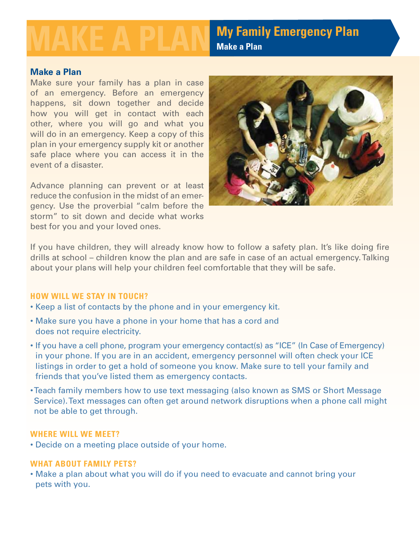**My Family Emergency Plan**<br>Make a Plan

# **Make a Plan**

Make sure your family has a plan in case of an emergency. Before an emergency happens, sit down together and decide how you will get in contact with each other, where you will go and what you will do in an emergency. Keep a copy of this plan in your emergency supply kit or another safe place where you can access it in the event of a disaster.

Advance planning can prevent or at least reduce the confusion in the midst of an emergency. Use the proverbial "calm before the storm" to sit down and decide what works best for you and your loved ones.



If you have children, they will already know how to follow a safety plan. It's like doing fire drills at school – children know the plan and are safe in case of an actual emergency. Talking about your plans will help your children feel comfortable that they will be safe.

## **How will we stay in touch?**

- Keep a list of contacts by the phone and in your emergency kit.
- Make sure you have a phone in your home that has a cord and does not require electricity.
- If you have a cell phone, program your emergency contact(s) as "ICE" (In Case of Emergency) in your phone. If you are in an accident, emergency personnel will often check your ICE listings in order to get a hold of someone you know. Make sure to tell your family and friends that you've listed them as emergency contacts.
- Teach family members how to use text messaging (also known as SMS or Short Message Service). Text messages can often get around network disruptions when a phone call might not be able to get through.

### **Where will we meet?**

• Decide on a meeting place outside of your home.

## **What about family pets?**

• Make a plan about what you will do if you need to evacuate and cannot bring your pets with you.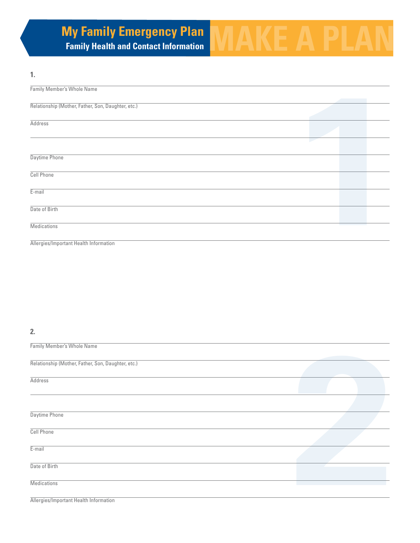# **My Family Emergency Plan MAKE A PLAN**

# **1.**

| Family Member's Whole Name                         |  |  |
|----------------------------------------------------|--|--|
| Relationship (Mother, Father, Son, Daughter, etc.) |  |  |
| <b>Address</b>                                     |  |  |
|                                                    |  |  |
| Daytime Phone                                      |  |  |
| Cell Phone                                         |  |  |
| E-mail                                             |  |  |
| Date of Birth                                      |  |  |
| Medications                                        |  |  |
| Allergies/Important Health Information             |  |  |
|                                                    |  |  |

## **2.**

| Family Member's Whole Name                         |  |
|----------------------------------------------------|--|
| Relationship (Mother, Father, Son, Daughter, etc.) |  |
| <b>Address</b>                                     |  |
|                                                    |  |
| Daytime Phone                                      |  |
| <b>Cell Phone</b>                                  |  |
| E-mail                                             |  |
| Date of Birth                                      |  |
| <b>Medications</b>                                 |  |
| Allergies/Important Health Information             |  |
|                                                    |  |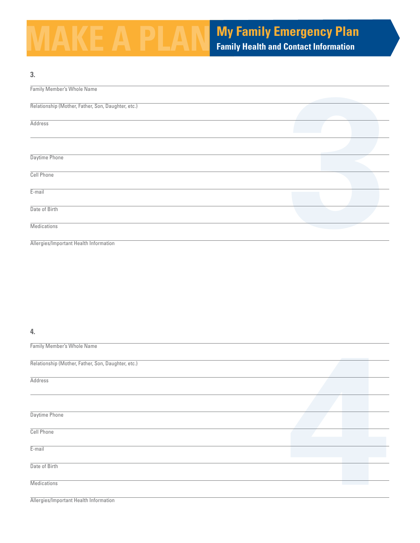# **My Family Emergency Plan Family Health and Contact Information**

| 3.                                                 |  |  |
|----------------------------------------------------|--|--|
| Family Member's Whole Name                         |  |  |
| Relationship (Mother, Father, Son, Daughter, etc.) |  |  |
|                                                    |  |  |
| <b>Address</b>                                     |  |  |
|                                                    |  |  |
| Daytime Phone                                      |  |  |
| <b>Cell Phone</b>                                  |  |  |
| $E$ -mail                                          |  |  |
| Date of Birth                                      |  |  |
| <b>Medications</b>                                 |  |  |
| Allergies/Important Health Information             |  |  |

#### **4.**

| <b>Family Member's Whole Name</b>                  |  |  |
|----------------------------------------------------|--|--|
|                                                    |  |  |
| Relationship (Mother, Father, Son, Daughter, etc.) |  |  |
|                                                    |  |  |
| <b>Address</b>                                     |  |  |
|                                                    |  |  |
|                                                    |  |  |
|                                                    |  |  |
| Daytime Phone                                      |  |  |
|                                                    |  |  |
| <b>Cell Phone</b>                                  |  |  |
|                                                    |  |  |
| $E$ -mail                                          |  |  |
|                                                    |  |  |
| Date of Birth                                      |  |  |
|                                                    |  |  |
| <b>Medications</b>                                 |  |  |
|                                                    |  |  |
| Allergies/Important Health Information             |  |  |
|                                                    |  |  |
|                                                    |  |  |
|                                                    |  |  |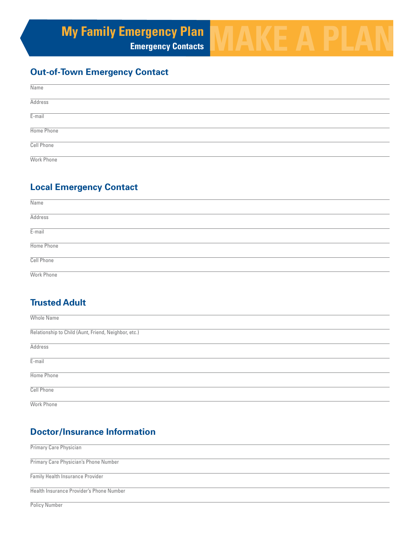# **My Family Emergency Plan MAKE A PLAN**

# **Out-of-Town Emergency Contact**

| Name           |  |
|----------------|--|
| <b>Address</b> |  |
| $E$ -mail      |  |
| Home Phone     |  |
| Cell Phone     |  |
| Work Phone     |  |

# **Local Emergency Contact**

| Name           |  |
|----------------|--|
| <b>Address</b> |  |
| $E$ -mail      |  |
| Home Phone     |  |
| Cell Phone     |  |
| Work Phone     |  |

# **Trusted Adult**

| Whole Name                                           |
|------------------------------------------------------|
| Relationship to Child (Aunt, Friend, Neighbor, etc.) |
| <b>Address</b>                                       |
| $E$ -mail                                            |
| Home Phone                                           |
| Cell Phone                                           |
| Work Phone                                           |

# **Doctor/Insurance Information**

| Primary Care Physician                   |
|------------------------------------------|
| Primary Care Physician's Phone Number    |
| <b>Family Health Insurance Provider</b>  |
| Health Insurance Provider's Phone Number |
| <b>Policy Number</b>                     |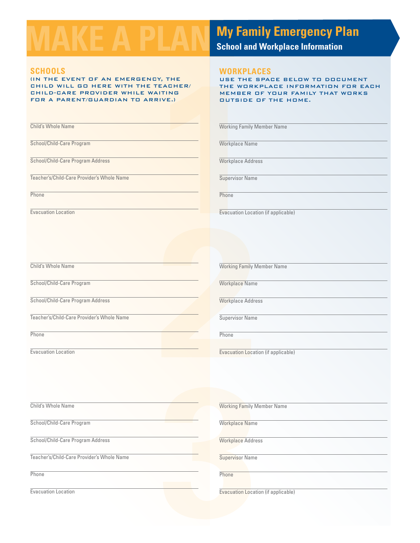### **Schools**

**11.11.11.12 WORKPLAND WORKPLAND WORKPLAND WE THE WORK ALTING MEMBER MEMBER OUTSIDE**<br> **11.11.12 MEMBER OUTSIDE**<br> **11.11.12 Working Family**<br> **11.12 Working Family**<br> **11.12 Workplace Nam**<br> **12.14.14.15 Workplace Addr**<br> **12.1** (in the event of an emergency, the child will go here with the teacher/ child-care provider while waiting for a parent/guardian to arrive.)

Child's Whole Name

School/Child-Care Program

School/Child-Care Program Address

Teacher's/Child-Care Provider's Whole Name

**Phone** 

Evacuation Location

**My Family Emergency Plan**<br> **School and Workplace Information** 

#### **Workplaces**

use the space below to document the workplace information for each member of your family that works outside of the home.

Working Family Member Name

Workplace Name

Workplace Address

Supervisor Name

**Phone** 

Evacuation Location (if applicable)

Child's Whole Name

School/Child-Care Program

School/Child-Care Program Address

Teacher's/Child-Care Provider's Whole Name

Phone

Evacuation Location

Working Family Member Name

Workplace Name

Workplace Address

Supervisor Name

**Phone** 

**2** Evacuation Location (if applicable)

Child's Whole Name

School/Child-Care Program

School/Child-Care Program Address

Teacher's/Child-Care Provider's Whole Name

**Phone** 

Evacuation Location

Working Family Member Name

Workplace Name

Working Family Me<br>
Workplace Name<br>
Workplace Address<br>
Supervisor Name<br>
Phone<br>
Evacuation Locatio Workplace Address

Supervisor Name

**Phone** 

Evacuation Location (if applicable)